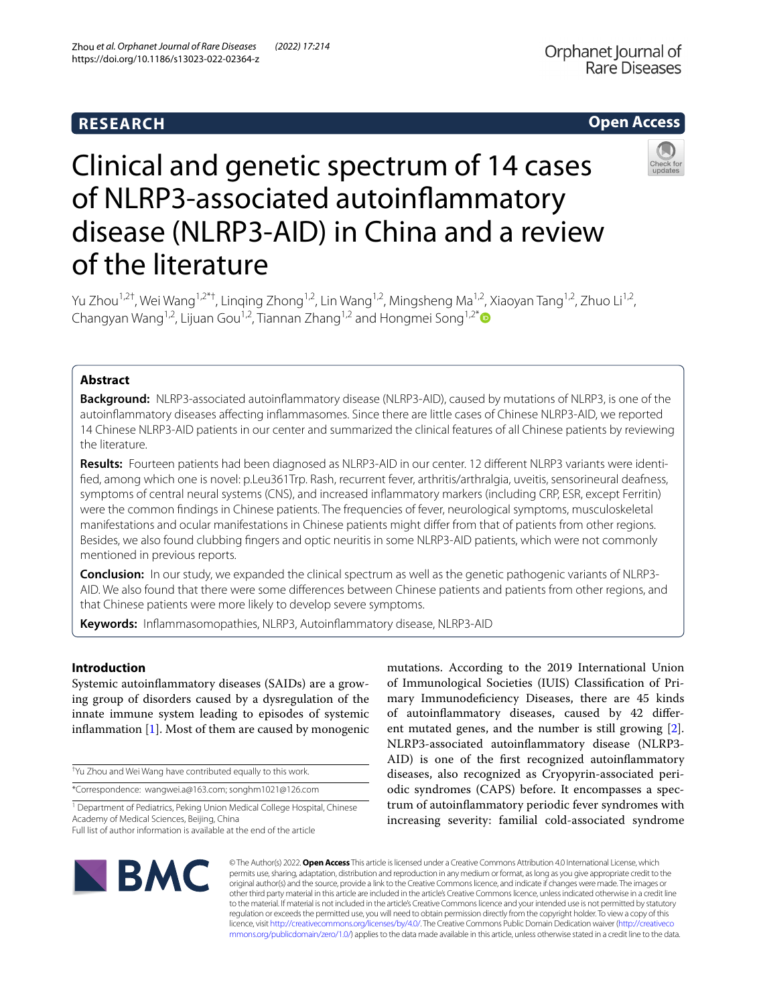# **RESEARCH**

# **Open Access**



# Clinical and genetic spectrum of 14 cases of NLRP3-associated autoinfammatory disease (NLRP3-AID) in China and a review of the literature

Yu Zhou<sup>1,2†</sup>, Wei Wang<sup>1,2\*†</sup>, Linqing Zhong<sup>1,2</sup>, Lin Wang<sup>1,2</sup>, Mingsheng Ma<sup>1,2</sup>, Xiaoyan Tang<sup>1,2</sup>, Zhuo Li<sup>1,2</sup>, Changyan Wang<sup>1,2</sup>, Lijuan Gou<sup>1,2</sup>, Tiannan Zhang<sup>1,2</sup> and Hongmei Song<sup>1,2\*</sup>

## **Abstract**

**Background:** NLRP3-associated autoinfammatory disease (NLRP3-AID), caused by mutations of NLRP3, is one of the autoinfammatory diseases afecting infammasomes. Since there are little cases of Chinese NLRP3-AID, we reported 14 Chinese NLRP3-AID patients in our center and summarized the clinical features of all Chinese patients by reviewing the literature.

**Results:** Fourteen patients had been diagnosed as NLRP3-AID in our center. 12 diferent NLRP3 variants were identifed, among which one is novel: p.Leu361Trp. Rash, recurrent fever, arthritis/arthralgia, uveitis, sensorineural deafness, symptoms of central neural systems (CNS), and increased infammatory markers (including CRP, ESR, except Ferritin) were the common fndings in Chinese patients. The frequencies of fever, neurological symptoms, musculoskeletal manifestations and ocular manifestations in Chinese patients might difer from that of patients from other regions. Besides, we also found clubbing fngers and optic neuritis in some NLRP3-AID patients, which were not commonly mentioned in previous reports.

**Conclusion:** In our study, we expanded the clinical spectrum as well as the genetic pathogenic variants of NLRP3- AID. We also found that there were some diferences between Chinese patients and patients from other regions, and that Chinese patients were more likely to develop severe symptoms.

**Keywords:** Infammasomopathies, NLRP3, Autoinfammatory disease, NLRP3-AID

### **Introduction**

Systemic autoinfammatory diseases (SAIDs) are a growing group of disorders caused by a dysregulation of the innate immune system leading to episodes of systemic inflammation  $[1]$  $[1]$ . Most of them are caused by monogenic

† Yu Zhou and Wei Wang have contributed equally to this work.

\*Correspondence: wangwei.a@163.com; songhm1021@126.com

<sup>1</sup> Department of Pediatrics, Peking Union Medical College Hospital, Chinese Academy of Medical Sciences, Beijing, China

Full list of author information is available at the end of the article

mutations. According to the 2019 International Union of Immunological Societies (IUIS) Classifcation of Primary Immunodefciency Diseases, there are 45 kinds of autoinfammatory diseases, caused by 42 diferent mutated genes, and the number is still growing [\[2](#page-7-1)]. NLRP3-associated autoinfammatory disease (NLRP3- AID) is one of the frst recognized autoinfammatory diseases, also recognized as Cryopyrin-associated periodic syndromes (CAPS) before. It encompasses a spectrum of autoinfammatory periodic fever syndromes with increasing severity: familial cold-associated syndrome



© The Author(s) 2022. **Open Access** This article is licensed under a Creative Commons Attribution 4.0 International License, which permits use, sharing, adaptation, distribution and reproduction in any medium or format, as long as you give appropriate credit to the original author(s) and the source, provide a link to the Creative Commons licence, and indicate if changes were made. The images or other third party material in this article are included in the article's Creative Commons licence, unless indicated otherwise in a credit line to the material. If material is not included in the article's Creative Commons licence and your intended use is not permitted by statutory regulation or exceeds the permitted use, you will need to obtain permission directly from the copyright holder. To view a copy of this licence, visit [http://creativecommons.org/licenses/by/4.0/.](http://creativecommons.org/licenses/by/4.0/) The Creative Commons Public Domain Dedication waiver ([http://creativeco](http://creativecommons.org/publicdomain/zero/1.0/) [mmons.org/publicdomain/zero/1.0/](http://creativecommons.org/publicdomain/zero/1.0/)) applies to the data made available in this article, unless otherwise stated in a credit line to the data.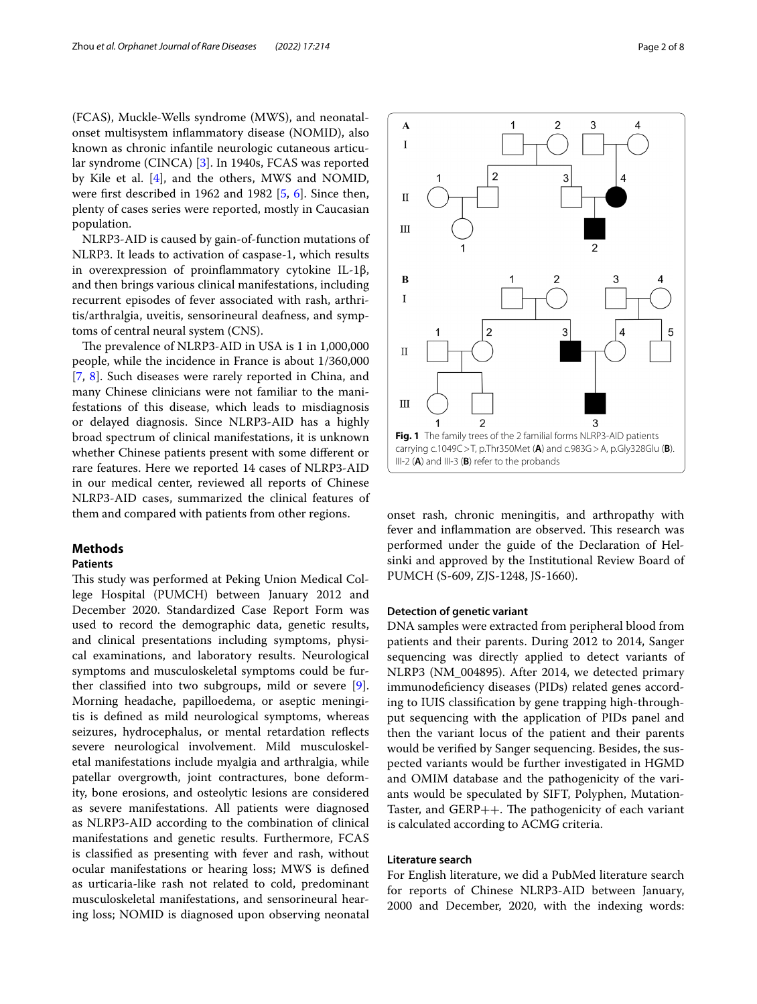(FCAS), Muckle-Wells syndrome (MWS), and neonatalonset multisystem infammatory disease (NOMID), also known as chronic infantile neurologic cutaneous articular syndrome (CINCA) [\[3](#page-7-2)]. In 1940s, FCAS was reported by Kile et al. [[4\]](#page-7-3), and the others, MWS and NOMID, were frst described in 1962 and 1982 [[5,](#page-7-4) [6\]](#page-7-5). Since then, plenty of cases series were reported, mostly in Caucasian population.

NLRP3-AID is caused by gain-of-function mutations of NLRP3. It leads to activation of caspase-1, which results in overexpression of proinfammatory cytokine IL-1β, and then brings various clinical manifestations, including recurrent episodes of fever associated with rash, arthritis/arthralgia, uveitis, sensorineural deafness, and symptoms of central neural system (CNS).

The prevalence of NLRP3-AID in USA is 1 in 1,000,000 people, while the incidence in France is about 1/360,000 [[7,](#page-7-6) [8](#page-7-7)]. Such diseases were rarely reported in China, and many Chinese clinicians were not familiar to the manifestations of this disease, which leads to misdiagnosis or delayed diagnosis. Since NLRP3-AID has a highly broad spectrum of clinical manifestations, it is unknown whether Chinese patients present with some diferent or rare features. Here we reported 14 cases of NLRP3-AID in our medical center, reviewed all reports of Chinese NLRP3-AID cases, summarized the clinical features of them and compared with patients from other regions.

#### **Methods**

#### **Patients**

This study was performed at Peking Union Medical College Hospital (PUMCH) between January 2012 and December 2020. Standardized Case Report Form was used to record the demographic data, genetic results, and clinical presentations including symptoms, physical examinations, and laboratory results. Neurological symptoms and musculoskeletal symptoms could be further classifed into two subgroups, mild or severe [\[9](#page-7-8)]. Morning headache, papilloedema, or aseptic meningitis is defned as mild neurological symptoms, whereas seizures, hydrocephalus, or mental retardation refects severe neurological involvement. Mild musculoskeletal manifestations include myalgia and arthralgia, while patellar overgrowth, joint contractures, bone deformity, bone erosions, and osteolytic lesions are considered as severe manifestations. All patients were diagnosed as NLRP3-AID according to the combination of clinical manifestations and genetic results. Furthermore, FCAS is classifed as presenting with fever and rash, without ocular manifestations or hearing loss; MWS is defned as urticaria-like rash not related to cold, predominant musculoskeletal manifestations, and sensorineural hearing loss; NOMID is diagnosed upon observing neonatal



<span id="page-1-0"></span>onset rash, chronic meningitis, and arthropathy with fever and inflammation are observed. This research was performed under the guide of the Declaration of Helsinki and approved by the Institutional Review Board of PUMCH (S-609, ZJS-1248, JS-1660).

#### **Detection of genetic variant**

DNA samples were extracted from peripheral blood from patients and their parents. During 2012 to 2014, Sanger sequencing was directly applied to detect variants of NLRP3 (NM\_004895). After 2014, we detected primary immunodefciency diseases (PIDs) related genes according to IUIS classifcation by gene trapping high-throughput sequencing with the application of PIDs panel and then the variant locus of the patient and their parents would be verifed by Sanger sequencing. Besides, the suspected variants would be further investigated in HGMD and OMIM database and the pathogenicity of the variants would be speculated by SIFT, Polyphen, Mutation-Taster, and  $GERP++$ . The pathogenicity of each variant is calculated according to ACMG criteria.

#### **Literature search**

For English literature, we did a PubMed literature search for reports of Chinese NLRP3-AID between January, 2000 and December, 2020, with the indexing words: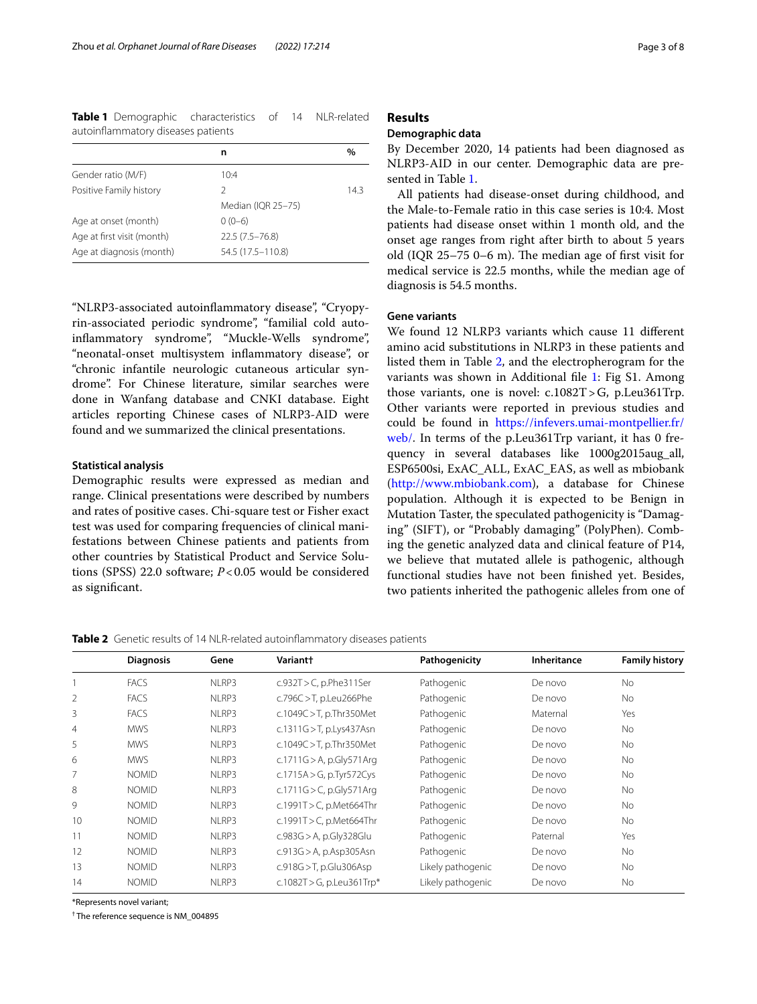<span id="page-2-0"></span>**Table 1** Demographic characteristics of 14 NLR-related autoinfammatory diseases patients

|                            | n                  | %    |
|----------------------------|--------------------|------|
| Gender ratio (M/F)         | 10:4               |      |
| Positive Family history    | 2                  | 14.3 |
|                            | Median (IQR 25-75) |      |
| Age at onset (month)       | $0(0-6)$           |      |
| Age at first visit (month) | $22.5(7.5 - 76.8)$ |      |
| Age at diagnosis (month)   | 54.5 (17.5-110.8)  |      |

"NLRP3-associated autoinfammatory disease", "Cryopyrin-associated periodic syndrome", "familial cold autoinflammatory syndrome", "Muckle-Wells syndrome", "neonatal-onset multisystem infammatory disease", or "chronic infantile neurologic cutaneous articular syndrome". For Chinese literature, similar searches were done in Wanfang database and CNKI database. Eight articles reporting Chinese cases of NLRP3-AID were found and we summarized the clinical presentations.

#### **Statistical analysis**

Demographic results were expressed as median and range. Clinical presentations were described by numbers and rates of positive cases. Chi-square test or Fisher exact test was used for comparing frequencies of clinical manifestations between Chinese patients and patients from other countries by Statistical Product and Service Solutions (SPSS) 22.0 software; *P*<0.05 would be considered as signifcant.

#### **Results**

#### **Demographic data**

By December 2020, 14 patients had been diagnosed as NLRP3-AID in our center. Demographic data are presented in Table [1.](#page-2-0)

All patients had disease-onset during childhood, and the Male-to-Female ratio in this case series is 10:4. Most patients had disease onset within 1 month old, and the onset age ranges from right after birth to about 5 years old (IQR  $25-75$  0–6 m). The median age of first visit for medical service is 22.5 months, while the median age of diagnosis is 54.5 months.

#### **Gene variants**

We found 12 NLRP3 variants which cause 11 diferent amino acid substitutions in NLRP3 in these patients and listed them in Table [2](#page-2-1), and the electropherogram for the variants was shown in Additional fle [1](#page-6-0): Fig S1. Among those variants, one is novel: c.1082T>G, p.Leu361Trp. Other variants were reported in previous studies and could be found in [https://infevers.umai-montpellier.fr/](https://infevers.umai-montpellier.fr/web/) [web/.](https://infevers.umai-montpellier.fr/web/) In terms of the p.Leu361Trp variant, it has 0 frequency in several databases like 1000g2015aug\_all, ESP6500si, ExAC\_ALL, ExAC\_EAS, as well as mbiobank ([http://www.mbiobank.com\)](http://www.mbiobank.com), a database for Chinese population. Although it is expected to be Benign in Mutation Taster, the speculated pathogenicity is "Damaging" (SIFT), or "Probably damaging" (PolyPhen). Combing the genetic analyzed data and clinical feature of P14, we believe that mutated allele is pathogenic, although functional studies have not been fnished yet. Besides, two patients inherited the pathogenic alleles from one of

<span id="page-2-1"></span>**Table 2** Genetic results of 14 NLR-related autoinflammatory diseases patients

|                | <b>Diagnosis</b> | Gene  | Variant+                    | Pathogenicity     | Inheritance | <b>Family history</b> |
|----------------|------------------|-------|-----------------------------|-------------------|-------------|-----------------------|
|                | <b>FACS</b>      | NLRP3 | $c.932T>C$ , p.Phe311Ser    | Pathogenic        | De novo     | No                    |
| $\overline{2}$ | <b>FACS</b>      | NLRP3 | c.796 $C > T$ , p.Leu266Phe | Pathogenic        | De novo     | No                    |
| 3              | <b>FACS</b>      | NLRP3 | c.1049C > T, p.Thr350Met    | Pathogenic        | Maternal    | Yes                   |
| $\overline{4}$ | <b>MWS</b>       | NLRP3 | c.1311G > T, p.Lys437Asn    | Pathogenic        | De novo     | No                    |
| 5              | <b>MWS</b>       | NLRP3 | c.1049C > T, p.Thr350Met    | Pathogenic        | De novo     | No                    |
| 6              | <b>MWS</b>       | NLRP3 | c.1711G > A, p.Gly571Arg    | Pathogenic        | De novo     | No                    |
|                | <b>NOMID</b>     | NLRP3 | c.1715A > G, p.Tyr572Cys    | Pathogenic        | De novo     | No                    |
| 8              | <b>NOMID</b>     | NLRP3 | c.1711G > C, p.Gly571Arg    | Pathogenic        | De novo     | No                    |
| 9              | <b>NOMID</b>     | NLRP3 | c.1991T > C, p.Met664Thr    | Pathogenic        | De novo     | No                    |
| 10             | <b>NOMID</b>     | NLRP3 | c.1991T > C, p.Met664Thr    | Pathogenic        | De novo     | No                    |
| 11             | <b>NOMID</b>     | NLRP3 | c.983G > A, p.Gly328Glu     | Pathogenic        | Paternal    | Yes                   |
| 12             | <b>NOMID</b>     | NLRP3 | c.913G > A, p.Asp305Asn     | Pathogenic        | De novo     | No                    |
| 13             | <b>NOMID</b>     | NLRP3 | c.918G > T, p.Glu306Asp     | Likely pathogenic | De novo     | No                    |
| 14             | <b>NOMID</b>     | NLRP3 | c.1082T > G, p.Leu361Trp*   | Likely pathogenic | De novo     | No                    |

\*Represents novel variant;

† The reference sequence is NM\_004895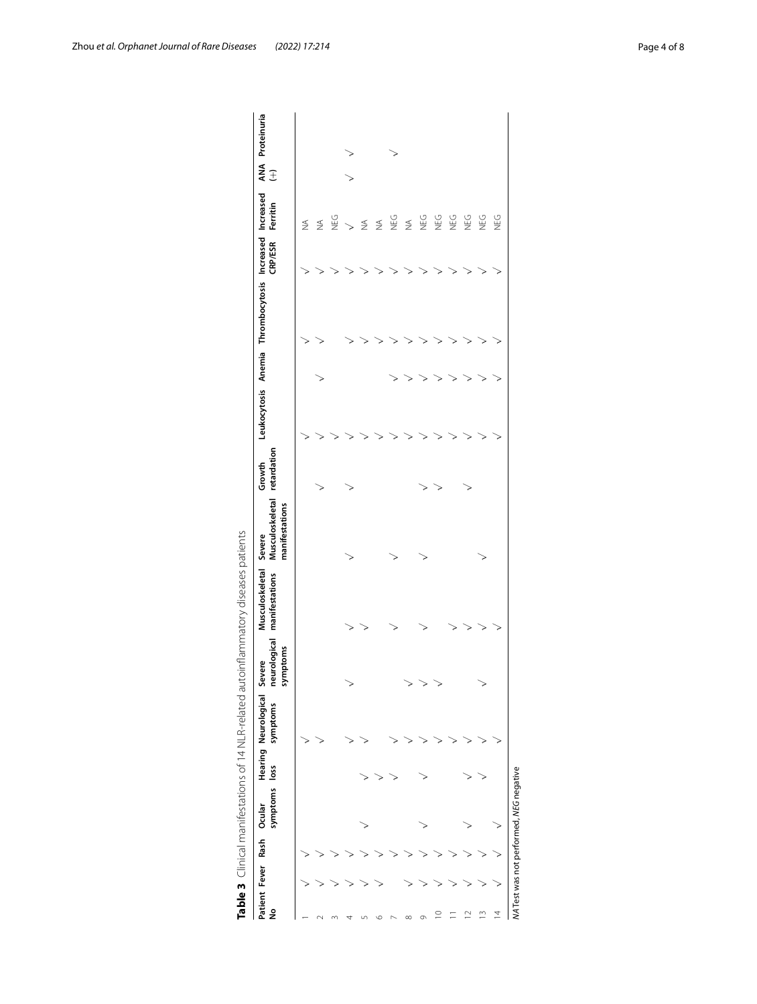| Patient Fever<br>ş | symptoms<br>Ocular<br>Rash | loss | Hearing Neurological<br>symptoms | symptoms<br>severe | Musculoskeletal Severe<br>neurological manifestations | Musculoskeletal retardation<br>manifestations | Growth |  | Leukocytosis Anemia Thrombocytosis Increased Increased | <b>CRP/ESR</b> | Ferritin                 | $\widehat{\pm}$ | ANA Proteinuria |
|--------------------|----------------------------|------|----------------------------------|--------------------|-------------------------------------------------------|-----------------------------------------------|--------|--|--------------------------------------------------------|----------------|--------------------------|-----------------|-----------------|
|                    |                            |      |                                  |                    |                                                       |                                               |        |  |                                                        |                | $\lessapprox$            |                 |                 |
|                    |                            |      |                                  |                    |                                                       |                                               |        |  |                                                        |                | $\leq$                   |                 |                 |
|                    |                            |      |                                  |                    |                                                       |                                               |        |  |                                                        |                | <b>SAN</b>               |                 |                 |
|                    |                            |      |                                  |                    |                                                       |                                               |        |  |                                                        |                | $\overline{\phantom{a}}$ |                 |                 |
|                    |                            |      |                                  |                    |                                                       |                                               |        |  |                                                        |                | $\leq$                   |                 |                 |
|                    |                            |      |                                  |                    |                                                       |                                               |        |  |                                                        |                | $\frac{1}{2}$            |                 |                 |
|                    |                            |      |                                  |                    |                                                       |                                               |        |  |                                                        |                | МĒ<br>С                  |                 |                 |
|                    |                            |      |                                  |                    |                                                       |                                               |        |  |                                                        |                | $\leq$                   |                 |                 |
|                    |                            |      |                                  |                    |                                                       |                                               |        |  |                                                        |                | МĒ<br>С                  |                 |                 |
|                    |                            |      |                                  |                    |                                                       |                                               |        |  |                                                        |                | NEG                      |                 |                 |
|                    |                            |      |                                  |                    |                                                       |                                               |        |  |                                                        |                | <b>NEG</b>               |                 |                 |
|                    |                            |      |                                  |                    |                                                       |                                               |        |  |                                                        |                | <b>DEG</b>               |                 |                 |
| S                  |                            |      |                                  |                    |                                                       | ⋗                                             |        |  |                                                        |                | <b>DEG</b>               |                 |                 |
| 4                  |                            |      |                                  |                    |                                                       |                                               |        |  |                                                        |                | <b>UEG</b>               |                 |                 |

<span id="page-3-0"></span>

| .<br>ו<br>ו<br>$\begin{bmatrix} 1 \\ 1 \\ 1 \end{bmatrix}$ |
|------------------------------------------------------------|
| ׇׇ֚֚֬֓֡<br>ţ                                               |
| J<br>フリンコーン・コー                                             |
| $\mathfrak{g}$                                             |
|                                                            |
| ຸ<br>)<br>$\frac{1}{4}$                                    |
| .c#cc#.c#.cccccc<br>$\frac{1}{3}$<br>j<br>m<br>≌           |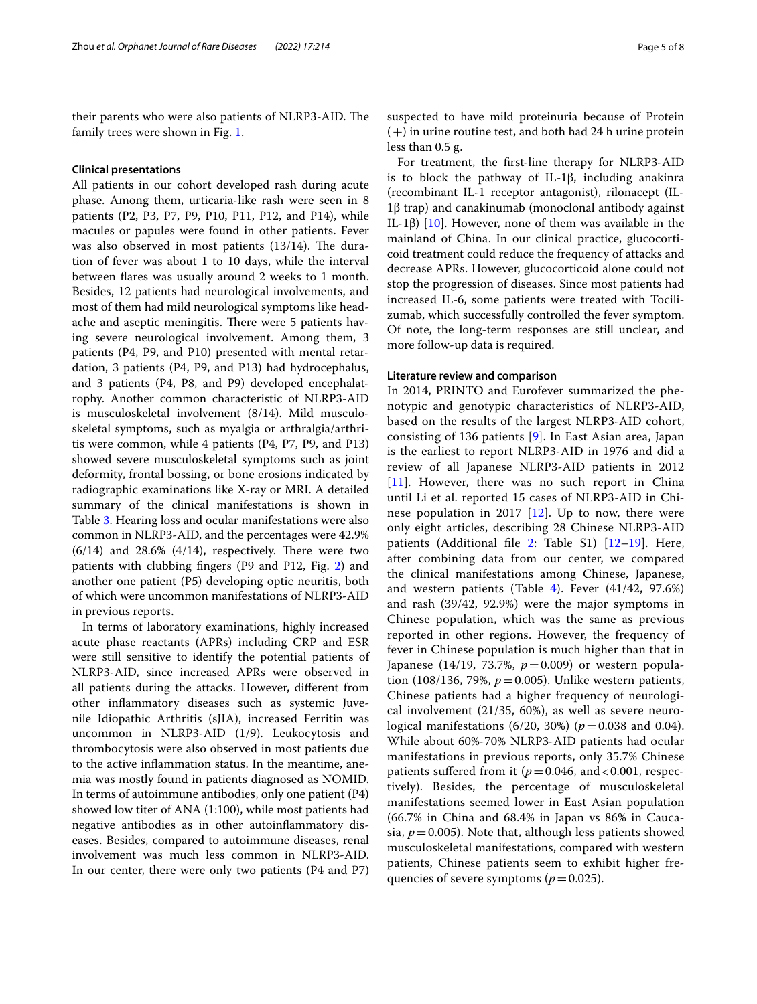their parents who were also patients of NLRP3-AID. The family trees were shown in Fig. [1.](#page-1-0)

#### **Clinical presentations**

All patients in our cohort developed rash during acute phase. Among them, urticaria-like rash were seen in 8 patients (P2, P3, P7, P9, P10, P11, P12, and P14), while macules or papules were found in other patients. Fever was also observed in most patients  $(13/14)$ . The duration of fever was about 1 to 10 days, while the interval between fares was usually around 2 weeks to 1 month. Besides, 12 patients had neurological involvements, and most of them had mild neurological symptoms like headache and aseptic meningitis. There were 5 patients having severe neurological involvement. Among them, 3 patients (P4, P9, and P10) presented with mental retardation, 3 patients (P4, P9, and P13) had hydrocephalus, and 3 patients (P4, P8, and P9) developed encephalatrophy. Another common characteristic of NLRP3-AID is musculoskeletal involvement (8/14). Mild musculoskeletal symptoms, such as myalgia or arthralgia/arthritis were common, while 4 patients (P4, P7, P9, and P13) showed severe musculoskeletal symptoms such as joint deformity, frontal bossing, or bone erosions indicated by radiographic examinations like X-ray or MRI. A detailed summary of the clinical manifestations is shown in Table [3](#page-3-0). Hearing loss and ocular manifestations were also common in NLRP3-AID, and the percentages were 42.9%  $(6/14)$  and 28.6%  $(4/14)$ , respectively. There were two patients with clubbing fngers (P9 and P12, Fig. [2](#page-5-0)) and another one patient (P5) developing optic neuritis, both of which were uncommon manifestations of NLRP3-AID in previous reports.

In terms of laboratory examinations, highly increased acute phase reactants (APRs) including CRP and ESR were still sensitive to identify the potential patients of NLRP3-AID, since increased APRs were observed in all patients during the attacks. However, diferent from other infammatory diseases such as systemic Juvenile Idiopathic Arthritis (sJIA), increased Ferritin was uncommon in NLRP3-AID (1/9). Leukocytosis and thrombocytosis were also observed in most patients due to the active infammation status. In the meantime, anemia was mostly found in patients diagnosed as NOMID. In terms of autoimmune antibodies, only one patient (P4) showed low titer of ANA (1:100), while most patients had negative antibodies as in other autoinfammatory diseases. Besides, compared to autoimmune diseases, renal involvement was much less common in NLRP3-AID. In our center, there were only two patients (P4 and P7) suspected to have mild proteinuria because of Protein  $(+)$  in urine routine test, and both had 24 h urine protein less than 0.5 g.

For treatment, the frst-line therapy for NLRP3-AID is to block the pathway of IL-1β, including anakinra (recombinant IL-1 receptor antagonist), rilonacept (IL-1β trap) and canakinumab (monoclonal antibody against IL-1β) [[10\]](#page-7-9). However, none of them was available in the mainland of China. In our clinical practice, glucocorticoid treatment could reduce the frequency of attacks and decrease APRs. However, glucocorticoid alone could not stop the progression of diseases. Since most patients had increased IL-6, some patients were treated with Tocilizumab, which successfully controlled the fever symptom. Of note, the long-term responses are still unclear, and more follow-up data is required.

#### **Literature review and comparison**

In 2014, PRINTO and Eurofever summarized the phenotypic and genotypic characteristics of NLRP3-AID, based on the results of the largest NLRP3-AID cohort, consisting of 136 patients [[9](#page-7-8)]. In East Asian area, Japan is the earliest to report NLRP3-AID in 1976 and did a review of all Japanese NLRP3-AID patients in 2012 [[11](#page-7-10)]. However, there was no such report in China until Li et al. reported 15 cases of NLRP3-AID in Chinese population in 2017  $[12]$  $[12]$ . Up to now, there were only eight articles, describing 28 Chinese NLRP3-AID patients (Additional fle [2](#page-6-1): Table S1) [[12–](#page-7-11)[19\]](#page-7-12). Here, after combining data from our center, we compared the clinical manifestations among Chinese, Japanese, and western patients (Table [4](#page-5-1)). Fever  $(41/42, 97.6%)$ and rash (39/42, 92.9%) were the major symptoms in Chinese population, which was the same as previous reported in other regions. However, the frequency of fever in Chinese population is much higher than that in Japanese (14/19, 73.7%, *p*=0.009) or western population (108/136, 79%,  $p = 0.005$ ). Unlike western patients, Chinese patients had a higher frequency of neurological involvement (21/35, 60%), as well as severe neurological manifestations (6/20, 30%) ( $p = 0.038$  and 0.04). While about 60%-70% NLRP3-AID patients had ocular manifestations in previous reports, only 35.7% Chinese patients suffered from it  $(p=0.046, \text{ and } < 0.001, \text{ respec-}$ tively). Besides, the percentage of musculoskeletal manifestations seemed lower in East Asian population (66.7% in China and 68.4% in Japan vs 86% in Caucasia,  $p = 0.005$ ). Note that, although less patients showed musculoskeletal manifestations, compared with western patients, Chinese patients seem to exhibit higher frequencies of severe symptoms ( $p=0.025$ ).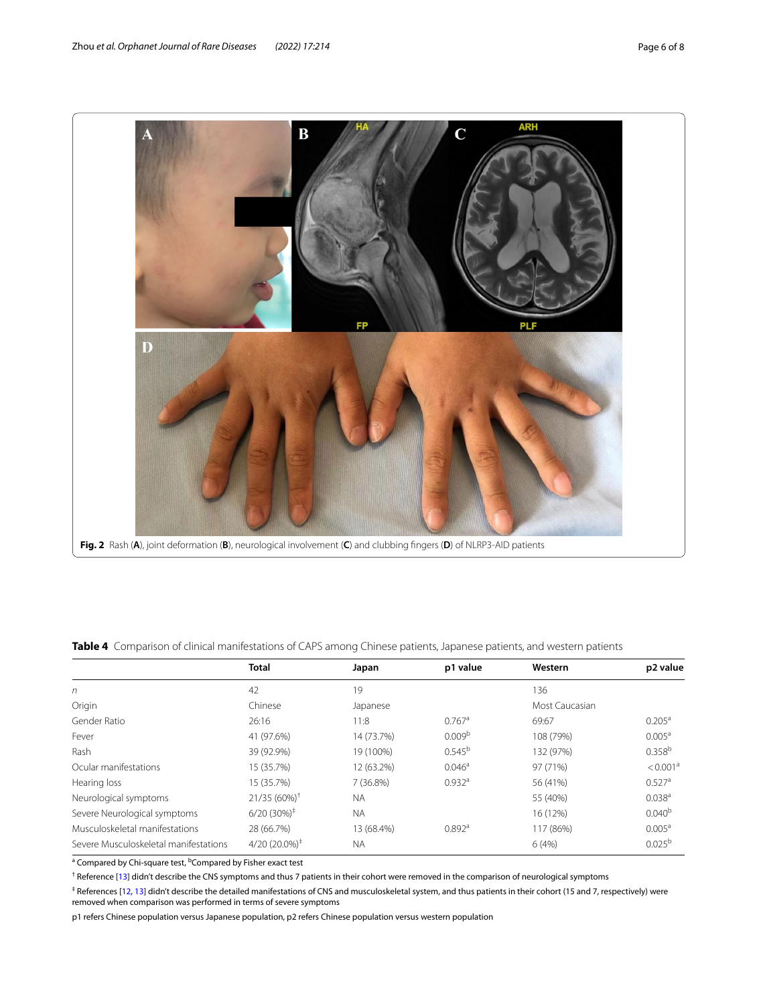

<span id="page-5-1"></span><span id="page-5-0"></span>**Table 4** Comparison of clinical manifestations of CAPS among Chinese patients, Japanese patients, and western patients

|                                       | <b>Total</b>              | Japan      | p1 value             | Western        | p2 value             |
|---------------------------------------|---------------------------|------------|----------------------|----------------|----------------------|
| n                                     | 42                        | 19         |                      | 136            |                      |
| Origin                                | Chinese                   | Japanese   |                      | Most Caucasian |                      |
| Gender Ratio                          | 26:16                     | 11:8       | $0.767$ <sup>a</sup> | 69:67          | $0.205^{\text{a}}$   |
| Fever                                 | 41 (97.6%)                | 14 (73.7%) | 0.009 <sup>b</sup>   | 108 (79%)      | 0.005 <sup>a</sup>   |
| Rash                                  | 39 (92.9%)                | 19 (100%)  | $0.545^{\rm b}$      | 132 (97%)      | 0.358 <sup>b</sup>   |
| Ocular manifestations                 | 15 (35.7%)                | 12 (63.2%) | $0.046^{\circ}$      | 97 (71%)       | < 0.001 <sup>a</sup> |
| Hearing loss                          | 15 (35.7%)                | 7 (36.8%)  | $0.932$ <sup>a</sup> | 56 (41%)       | $0.527$ <sup>a</sup> |
| Neurological symptoms                 | $21/35(60\%)^{\dagger}$   | <b>NA</b>  |                      | 55 (40%)       | 0.038 <sup>a</sup>   |
| Severe Neurological symptoms          | $6/20(30\%)^{\ddagger}$   | <b>NA</b>  |                      | 16 (12%)       | $0.040^{b}$          |
| Musculoskeletal manifestations        | 28 (66.7%)                | 13 (68.4%) | $0.892$ <sup>a</sup> | 117 (86%)      | $0.005^{\text{a}}$   |
| Severe Musculoskeletal manifestations | $4/20(20.0\%)^{\ddagger}$ | <b>NA</b>  |                      | 6(4%)          | $0.025^{b}$          |

<sup>a</sup> Compared by Chi-square test, <sup>b</sup>Compared by Fisher exact test

<sup>†</sup> Reference [\[13](#page-7-13)] didn't describe the CNS symptoms and thus 7 patients in their cohort were removed in the comparison of neurological symptoms

‡ References [[12](#page-7-11), [13](#page-7-13)] didn't describe the detailed manifestations of CNS and musculoskeletal system, and thus patients in their cohort (15 and 7, respectively) were removed when comparison was performed in terms of severe symptoms

p1 refers Chinese population versus Japanese population, p2 refers Chinese population versus western population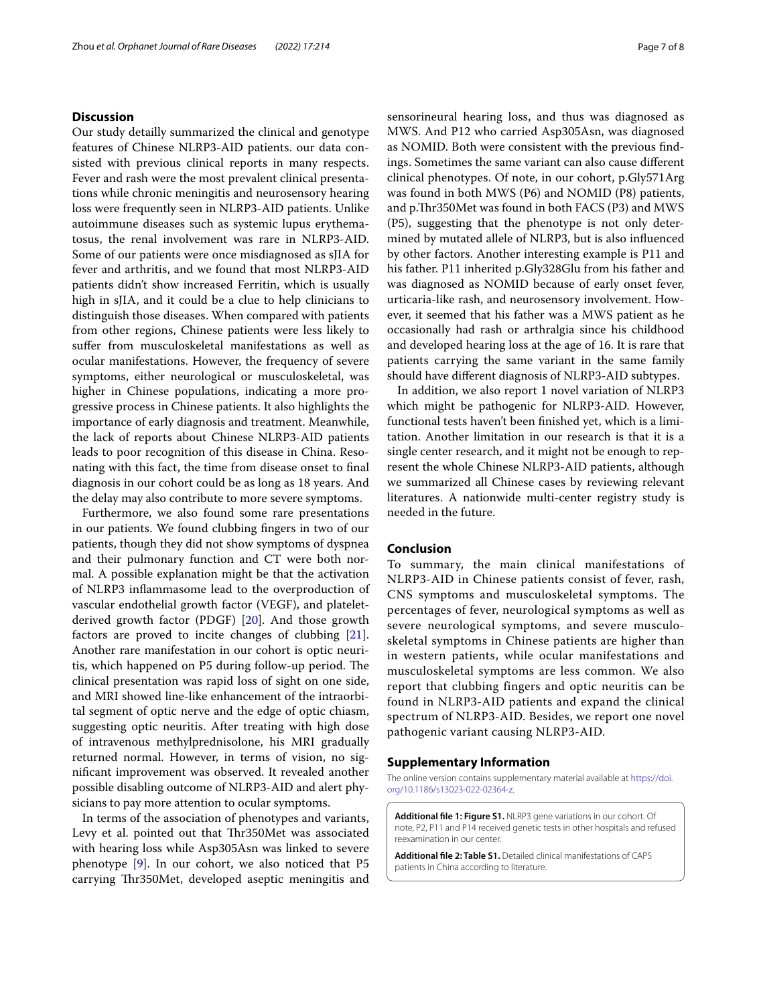#### **Discussion**

Our study detailly summarized the clinical and genotype features of Chinese NLRP3-AID patients. our data consisted with previous clinical reports in many respects. Fever and rash were the most prevalent clinical presentations while chronic meningitis and neurosensory hearing loss were frequently seen in NLRP3-AID patients. Unlike autoimmune diseases such as systemic lupus erythematosus, the renal involvement was rare in NLRP3-AID. Some of our patients were once misdiagnosed as sJIA for fever and arthritis, and we found that most NLRP3-AID patients didn't show increased Ferritin, which is usually high in sJIA, and it could be a clue to help clinicians to distinguish those diseases. When compared with patients from other regions, Chinese patients were less likely to sufer from musculoskeletal manifestations as well as ocular manifestations. However, the frequency of severe symptoms, either neurological or musculoskeletal, was higher in Chinese populations, indicating a more progressive process in Chinese patients. It also highlights the importance of early diagnosis and treatment. Meanwhile, the lack of reports about Chinese NLRP3-AID patients leads to poor recognition of this disease in China. Resonating with this fact, the time from disease onset to fnal diagnosis in our cohort could be as long as 18 years. And the delay may also contribute to more severe symptoms.

Furthermore, we also found some rare presentations in our patients. We found clubbing fngers in two of our patients, though they did not show symptoms of dyspnea and their pulmonary function and CT were both normal. A possible explanation might be that the activation of NLRP3 infammasome lead to the overproduction of vascular endothelial growth factor (VEGF), and plateletderived growth factor (PDGF) [\[20](#page-7-14)]. And those growth factors are proved to incite changes of clubbing [\[21](#page-7-15)]. Another rare manifestation in our cohort is optic neuritis, which happened on P5 during follow-up period. The clinical presentation was rapid loss of sight on one side, and MRI showed line-like enhancement of the intraorbital segment of optic nerve and the edge of optic chiasm, suggesting optic neuritis. After treating with high dose of intravenous methylprednisolone, his MRI gradually returned normal. However, in terms of vision, no signifcant improvement was observed. It revealed another possible disabling outcome of NLRP3-AID and alert physicians to pay more attention to ocular symptoms.

In terms of the association of phenotypes and variants, Levy et al. pointed out that Thr350Met was associated with hearing loss while Asp305Asn was linked to severe phenotype [[9\]](#page-7-8). In our cohort, we also noticed that P5 carrying Thr350Met, developed aseptic meningitis and sensorineural hearing loss, and thus was diagnosed as MWS. And P12 who carried Asp305Asn, was diagnosed as NOMID. Both were consistent with the previous fndings. Sometimes the same variant can also cause diferent clinical phenotypes. Of note, in our cohort, p.Gly571Arg was found in both MWS (P6) and NOMID (P8) patients, and p.Thr350Met was found in both FACS (P3) and MWS (P5), suggesting that the phenotype is not only determined by mutated allele of NLRP3, but is also infuenced by other factors. Another interesting example is P11 and his father. P11 inherited p.Gly328Glu from his father and was diagnosed as NOMID because of early onset fever, urticaria-like rash, and neurosensory involvement. However, it seemed that his father was a MWS patient as he occasionally had rash or arthralgia since his childhood and developed hearing loss at the age of 16. It is rare that patients carrying the same variant in the same family should have diferent diagnosis of NLRP3-AID subtypes.

In addition, we also report 1 novel variation of NLRP3 which might be pathogenic for NLRP3-AID. However, functional tests haven't been fnished yet, which is a limitation. Another limitation in our research is that it is a single center research, and it might not be enough to represent the whole Chinese NLRP3-AID patients, although we summarized all Chinese cases by reviewing relevant literatures. A nationwide multi-center registry study is needed in the future.

#### **Conclusion**

To summary, the main clinical manifestations of NLRP3-AID in Chinese patients consist of fever, rash, CNS symptoms and musculoskeletal symptoms. The percentages of fever, neurological symptoms as well as severe neurological symptoms, and severe musculoskeletal symptoms in Chinese patients are higher than in western patients, while ocular manifestations and musculoskeletal symptoms are less common. We also report that clubbing fingers and optic neuritis can be found in NLRP3-AID patients and expand the clinical spectrum of NLRP3-AID. Besides, we report one novel pathogenic variant causing NLRP3-AID.

#### **Supplementary Information**

The online version contains supplementary material available at [https://doi.](https://doi.org/10.1186/s13023-022-02364-z) [org/10.1186/s13023-022-02364-z.](https://doi.org/10.1186/s13023-022-02364-z)

<span id="page-6-0"></span>**Additional fle 1: Figure S1.** NLRP3 gene variations in our cohort. Of note, P2, P11 and P14 received genetic tests in other hospitals and refused reexamination in our center.

<span id="page-6-1"></span>**Additional fle 2: Table S1.** Detailed clinical manifestations of CAPS patients in China according to literature.